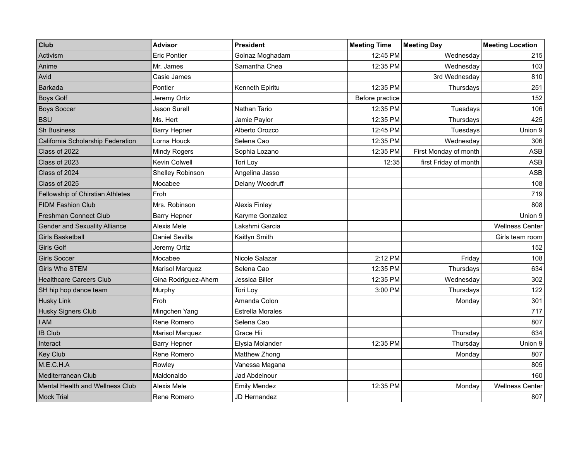| <b>Club</b>                          | <b>Advisor</b>         | <b>President</b>        | <b>Meeting Time</b> | <b>Meeting Day</b>    | <b>Meeting Location</b> |
|--------------------------------------|------------------------|-------------------------|---------------------|-----------------------|-------------------------|
| Activism                             | <b>Eric Pontier</b>    | Golnaz Moghadam         | 12:45 PM            | Wednesday             | 215                     |
| Anime                                | Mr. James              | Samantha Chea           | 12:35 PM            | Wednesday             | 103                     |
| Avid                                 | Casie James            |                         |                     | 3rd Wednesday         | 810                     |
| <b>Barkada</b>                       | Pontier                | Kenneth Epiritu         | 12:35 PM            | Thursdays             | 251                     |
| <b>Boys Golf</b>                     | Jeremy Ortiz           |                         | Before practice     |                       | 152                     |
| <b>Boys Soccer</b>                   | Jason Surell           | Nathan Tario            | 12:35 PM            | Tuesdays              | 106                     |
| <b>BSU</b>                           | Ms. Hert               | Jamie Paylor            | 12:35 PM            | Thursdays             | 425                     |
| <b>Sh Business</b>                   | Barry Hepner           | Alberto Orozco          | 12:45 PM            | Tuesdays              | Union 9                 |
| California Scholarship Federation    | Lorna Houck            | Selena Cao              | 12:35 PM            | Wednesday             | 306                     |
| Class of 2022                        | Mindy Rogers           | Sophia Lozano           | 12:35 PM            | First Monday of month | ASB                     |
| Class of 2023                        | Kevin Colwell          | Tori Loy                | 12:35               | first Friday of month | ASB                     |
| Class of 2024                        | Shelley Robinson       | Angelina Jasso          |                     |                       | <b>ASB</b>              |
| Class of 2025                        | Mocabee                | Delany Woodruff         |                     |                       | 108                     |
| Fellowship of Chirstian Athletes     | Froh                   |                         |                     |                       | 719                     |
| <b>FIDM Fashion Club</b>             | Mrs. Robinson          | <b>Alexis Finley</b>    |                     |                       | 808                     |
| Freshman Connect Club                | <b>Barry Hepner</b>    | Karyme Gonzalez         |                     |                       | Union 9                 |
| <b>Gender and Sexuality Alliance</b> | Alexis Mele            | Lakshmi Garcia          |                     |                       | <b>Wellness Center</b>  |
| <b>Girls Basketball</b>              | Daniel Sevilla         | Kaitlyn Smith           |                     |                       | Girls team room         |
| <b>Girls Golf</b>                    | Jeremy Ortiz           |                         |                     |                       | 152                     |
| <b>Girls Soccer</b>                  | Mocabee                | Nicole Salazar          | 2:12 PM             | Friday                | 108                     |
| Girls Who STEM                       | <b>Marisol Marquez</b> | Selena Cao              | 12:35 PM            | Thursdays             | 634                     |
| <b>Healthcare Careers Club</b>       | Gina Rodriguez-Ahern   | Jessica Biller          | 12:35 PM            | Wednesday             | 302                     |
| SH hip hop dance team                | Murphy                 | Tori Loy                | 3:00 PM             | Thursdays             | 122                     |
| <b>Husky Link</b>                    | Froh                   | Amanda Colon            |                     | Monday                | 301                     |
| Husky Signers Club                   | Mingchen Yang          | <b>Estrella Morales</b> |                     |                       | 717                     |
| <b>I AM</b>                          | Rene Romero            | Selena Cao              |                     |                       | 807                     |
| <b>IB Club</b>                       | <b>Marisol Marquez</b> | Grace Hii               |                     | Thursday              | 634                     |
| Interact                             | <b>Barry Hepner</b>    | Elysia Molander         | 12:35 PM            | Thursday              | Union 9                 |
| <b>Key Club</b>                      | Rene Romero            | Matthew Zhong           |                     | Monday                | 807                     |
| M.E.C.H.A                            | Rowley                 | Vanessa Magana          |                     |                       | 805                     |
| Mediterranean Club                   | Maldonaldo             | Jad Abdelnour           |                     |                       | 160                     |
| Mental Health and Wellness Club      | Alexis Mele            | <b>Emily Mendez</b>     | 12:35 PM            | Monday                | <b>Wellness Center</b>  |
| Mock Trial                           | Rene Romero            | JD Hernandez            |                     |                       | 807                     |